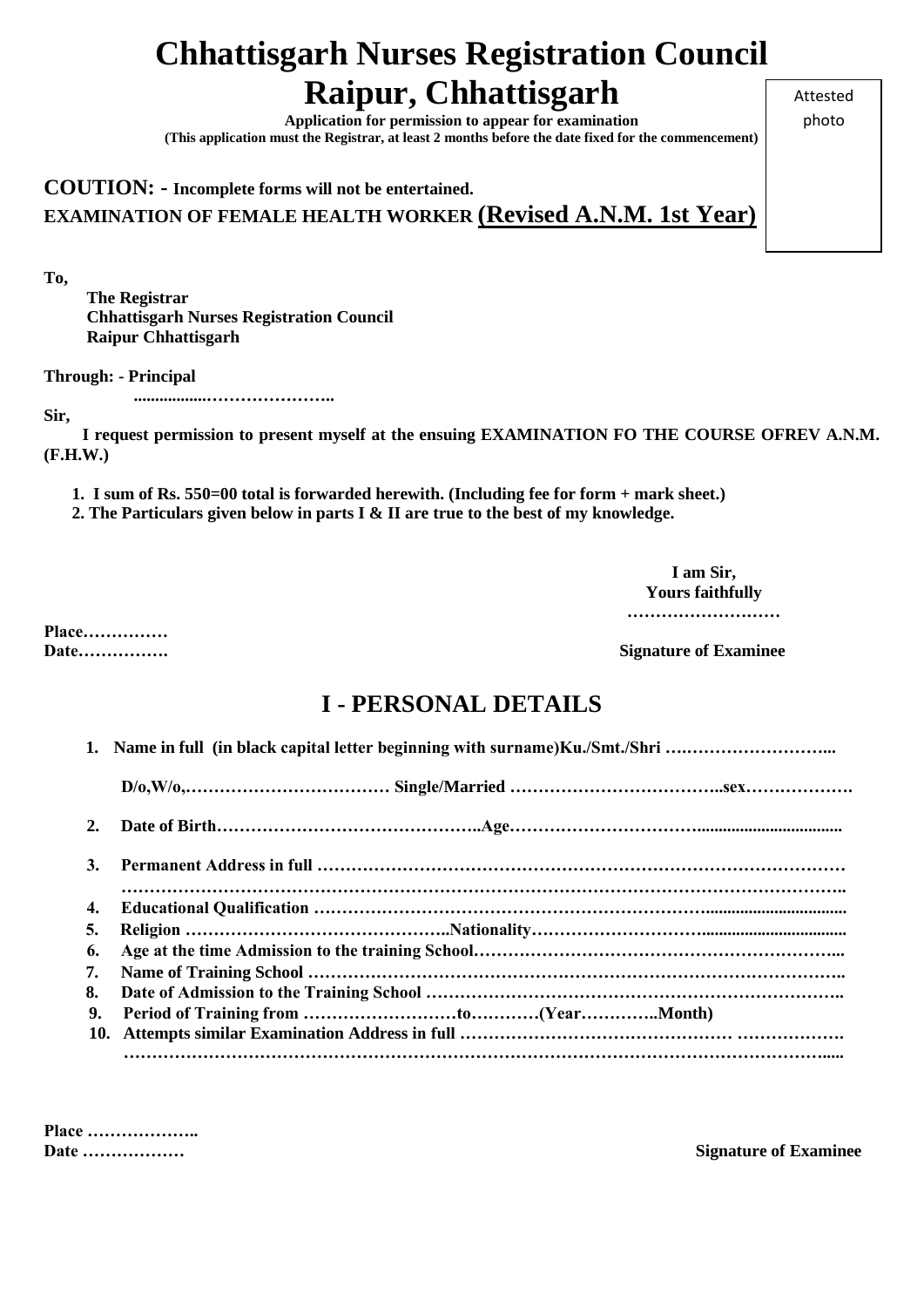# **Chhattisgarh Nurses Registration Council Raipur, Chhattisgarh**

**Application for permission to appear for examination (This application must the Registrar, at least 2 months before the date fixed for the commencement)** Attested photo

### **COUTION: - Incomplete forms will not be entertained. EXAMINATION OF FEMALE HEALTH WORKER (Revised A.N.M. 1st Year)**

**To,** 

 **The Registrar Chhattisgarh Nurses Registration Council Raipur Chhattisgarh**

**Through: - Principal** 

 **.................…………………..**

**Sir,** 

 **I request permission to present myself at the ensuing EXAMINATION FO THE COURSE OFREV A.N.M. (F.H.W.)**

**1. I sum of Rs. 550=00 total is forwarded herewith. (Including fee for form + mark sheet.)**

**2. The Particulars given below in parts I & II are true to the best of my knowledge.**

**I am Sir, Yours faithfully**

**………………………**

**Place……………**

**Date……………. Signature of Examinee**

## **I - PERSONAL DETAILS**

|    | Name in full (in black capital letter beginning with surname) Ku./Smt./Shri |
|----|-----------------------------------------------------------------------------|
|    |                                                                             |
| 2. |                                                                             |
| 3. |                                                                             |
| 4. |                                                                             |
| 5. |                                                                             |
| 6. |                                                                             |
| 7. |                                                                             |
| 8. |                                                                             |
| 9. |                                                                             |
|    |                                                                             |
|    |                                                                             |

**Place ………………..**

**Date ……………… Signature of Examinee**